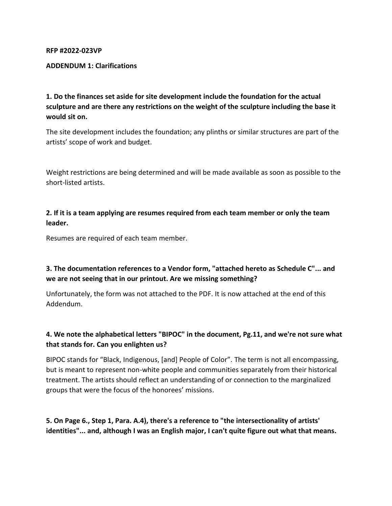#### **RFP #2022-023VP**

#### **ADDENDUM 1: Clarifications**

**1. Do the finances set aside for site development include the foundation for the actual sculpture and are there any restrictions on the weight of the sculpture including the base it would sit on.**

The site development includes the foundation; any plinths or similar structures are part of the artists' scope of work and budget.

Weight restrictions are being determined and will be made available as soon as possible to the short-listed artists.

**2. If it is a team applying are resumes required from each team member or only the team leader.**

Resumes are required of each team member.

## **3. The documentation references to a Vendor form, "attached hereto as Schedule C"... and we are not seeing that in our printout. Are we missing something?**

Unfortunately, the form was not attached to the PDF. It is now attached at the end of this Addendum.

### **4. We note the alphabetical letters "BIPOC" in the document, Pg.11, and we're not sure what that stands for. Can you enlighten us?**

BIPOC stands for "Black, Indigenous, [and] People of Color". The term is not all encompassing, but is meant to represent non-white people and communities separately from their historical treatment. The artists should reflect an understanding of or connection to the marginalized groups that were the focus of the honorees' missions.

**5. On Page 6., Step 1, Para. A.4), there's a reference to "the intersectionality of artists' identities"... and, although I was an English major, I can't quite figure out what that means.**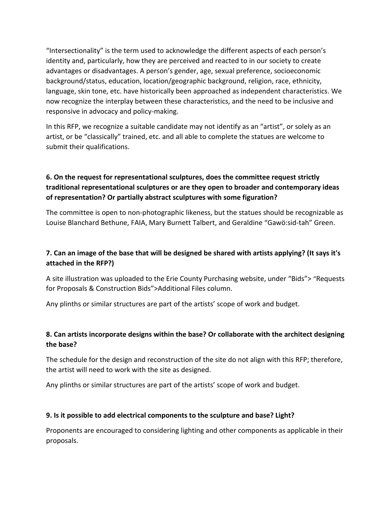"Intersectionality" is the term used to acknowledge the different aspects of each person's identity and, particularly, how they are perceived and reacted to in our society to create advantages or disadvantages. A person's gender, age, sexual preference, socioeconomic background/status, education, location/geographic background, religion, race, ethnicity, language, skin tone, etc. have historically been approached as independent characteristics. We now recognize the interplay between these characteristics, and the need to be inclusive and responsive in advocacy and policy-making.

In this RFP, we recognize a suitable candidate may not identify as an "artist", or solely as an artist, or be "classically" trained, etc. and all able to complete the statues are welcome to submit their qualifications.

# **6. On the request for representational sculptures, does the committee request strictly traditional representational sculptures or are they open to broader and contemporary ideas of representation? Or partially abstract sculptures with some figuration?**

The committee is open to non-photographic likeness, but the statues should be recognizable as Louise Blanchard Bethune, FAIA, Mary Burnett Talbert, and Geraldine "Gawö:sid-tah" Green.

# **7. Can an image of the base that will be designed be shared with artists applying? (It says it's attached in the RFP?)**

A site illustration was uploaded to the Erie County Purchasing website, under "Bids"> "Requests for Proposals & Construction Bids">Additional Files column.

Any plinths or similar structures are part of the artists' scope of work and budget.

# **8. Can artists incorporate designs within the base? Or collaborate with the architect designing the base?**

The schedule for the design and reconstruction of the site do not align with this RFP; therefore, the artist will need to work with the site as designed.

Any plinths or similar structures are part of the artists' scope of work and budget.

### **9. Is it possible to add electrical components to the sculpture and base? Light?**

Proponents are encouraged to considering lighting and other components as applicable in their proposals.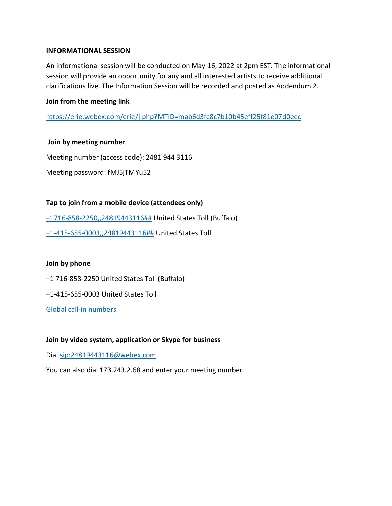#### **INFORMATIONAL SESSION**

An informational session will be conducted on May 16, 2022 at 2pm EST. The informational session will provide an opportunity for any and all interested artists to receive additional clarifications live. The Information Session will be recorded and posted as Addendum 2.

#### **Join from the meeting link**

<https://erie.webex.com/erie/j.php?MTID=mab6d3fc8c7b10b45eff25f81e07d0eec>

#### **Join by meeting number**

Meeting number (access code): 2481 944 3116 Meeting password: fMJ5jTMYu52

### **Tap to join from a mobile device (attendees only)**

[+1716-858-2250,,24819443116##](tel:%2B1716-858-2250,,*01*24819443116%23%23*01*) United States Toll (Buffalo) [+1-415-655-0003,,24819443116##](tel:%2B1-415-655-0003,,*01*24819443116%23%23*01*) United States Toll

#### **Join by phone**

+1 716-858-2250 United States Toll (Buffalo)

+1-415-655-0003 United States Toll

[Global call-in numbers](https://erie.webex.com/erie/globalcallin.php?MTID=md458b1fe703ab71dbd8b46f43256cef9) 

#### **Join by video system, application or Skype for business**

Dial<sip:24819443116@webex.com>

You can also dial 173.243.2.68 and enter your meeting number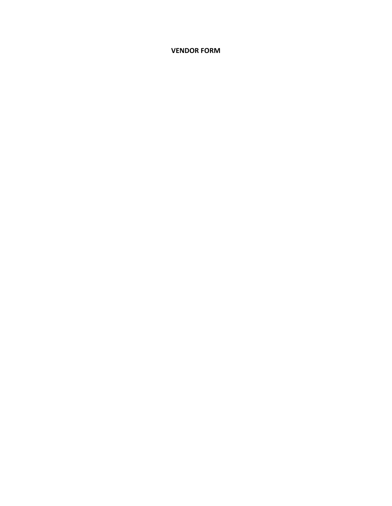**VENDOR FORM**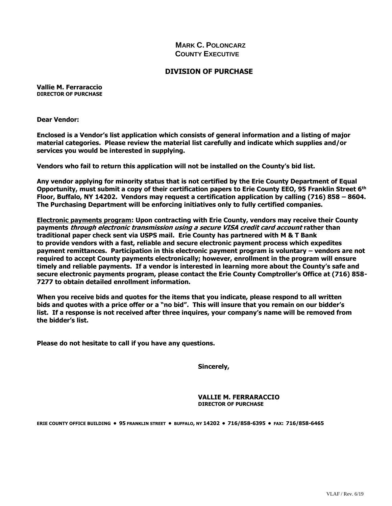### **MARK C. POLONCARZ COUNTY EXECUTIVE**

#### **DIVISION OF PURCHASE**

**Vallie M. Ferraraccio DIRECTOR OF PURCHASE**

**Dear Vendor:**

**Enclosed is a Vendor's list application which consists of general information and a listing of major material categories. Please review the material list carefully and indicate which supplies and/or services you would be interested in supplying.**

**Vendors who fail to return this application will not be installed on the County's bid list.**

**Any vendor applying for minority status that is not certified by the Erie County Department of Equal Opportunity, must submit a copy of their certification papers to Erie County EEO, 95 Franklin Street 6th Floor, Buffalo, NY 14202. Vendors may request a certification application by calling (716) 858 – 8604. The Purchasing Department will be enforcing initiatives only to fully certified companies.**

**Electronic payments program: Upon contracting with Erie County, vendors may receive their County payments through electronic transmission using a secure VISA credit card account rather than traditional paper check sent via USPS mail. Erie County has partnered with M & T Bank to provide vendors with a fast, reliable and secure electronic payment process which expedites payment remittances. Participation in this electronic payment program is voluntary – vendors are not required to accept County payments electronically; however, enrollment in the program will ensure timely and reliable payments. If a vendor is interested in learning more about the County's safe and secure electronic payments program, please contact the Erie County Comptroller's Office at (716) 858- 7277 to obtain detailed enrollment information.**

**When you receive bids and quotes for the items that you indicate, please respond to all written bids and quotes with a price offer or a "no bid". This will insure that you remain on our bidder's list. If a response is not received after three inquires, your company's name will be removed from the bidder's list.**

**Please do not hesitate to call if you have any questions.**

**Sincerely,**

**VALLIE M. FERRARACCIO DIRECTOR OF PURCHASE**

ERIE COUNTY OFFICE BUILDING . 95 FRANKLIN STREET . BUFFALO, NY 14202 . 716/858-6395 . FAX: 716/858-6465